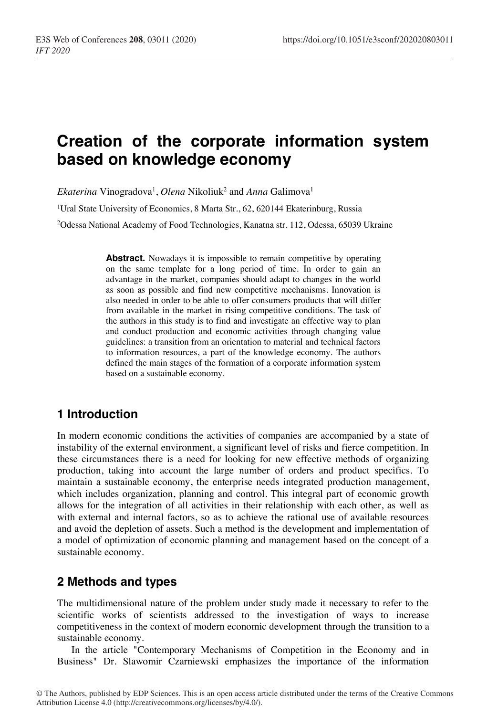# **Creation of the corporate information system based on knowledge economy**

 $Ekaterina Vinogradova<sup>1</sup>, *Olena* Nikoliuk<sup>2</sup> and *Anna* Galimova<sup>1</sup>$ <sup>1</sup>Ural State University of Economics, 8 Marta Str., 62, 620144 Ekaterinburg, Russia

2Odessa National Academy of Food Technologies, Kanatna str. 112, Odessa, 65039 Ukraine

Abstract. Nowadays it is impossible to remain competitive by operating on the same template for a long period of time. In order to gain an advantage in the market, companies should adapt to changes in the world as soon as possible and find new competitive mechanisms. Innovation is also needed in order to be able to offer consumers products that will differ from available in the market in rising competitive conditions. The task of the authors in this study is to find and investigate an effective way to plan and conduct production and economic activities through changing value guidelines: a transition from an orientation to material and technical factors to information resources, a part of the knowledge economy. The authors defined the main stages of the formation of a corporate information system based on a sustainable economy.

# **1 Introduction**

In modern economic conditions the activities of companies are accompanied by a state of instability of the external environment, a significant level of risks and fierce competition. In these circumstances there is a need for looking for new effective methods of organizing production, taking into account the large number of orders and product specifics. To maintain a sustainable economy, the enterprise needs integrated production management, which includes organization, planning and control. This integral part of economic growth allows for the integration of all activities in their relationship with each other, as well as with external and internal factors, so as to achieve the rational use of available resources and avoid the depletion of assets. Such a method is the development and implementation of a model of optimization of economic planning and management based on the concept of a sustainable economy.

# **2 Methods and types**

The multidimensional nature of the problem under study made it necessary to refer to the scientific works of scientists addressed to the investigation of ways to increase competitiveness in the context of modern economic development through the transition to a sustainable economy.

In the article "Contemporary Mechanisms of Competition in the Economy and in Business" Dr. Slawomir Czarniewski emphasizes the importance of the information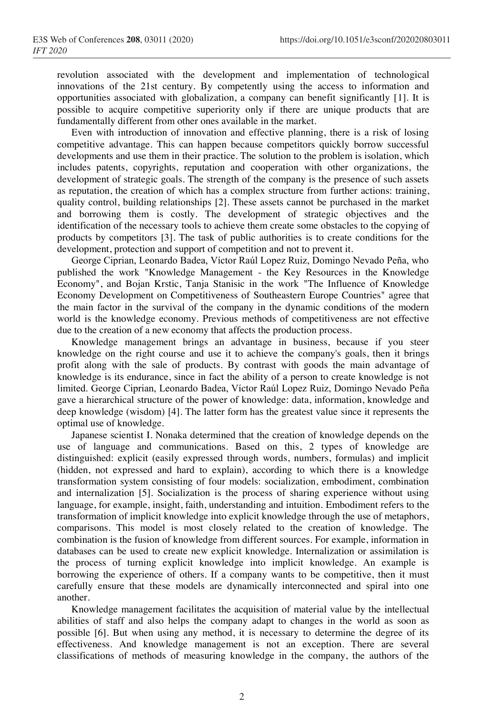revolution associated with the development and implementation of technological innovations of the 21st century. By competently using the access to information and opportunities associated with globalization, a company can benefit significantly [1]. It is possible to acquire competitive superiority only if there are unique products that are fundamentally different from other ones available in the market.

Even with introduction of innovation and effective planning, there is a risk of losing competitive advantage. This can happen because competitors quickly borrow successful developments and use them in their practice. The solution to the problem is isolation, which includes patents, copyrights, reputation and cooperation with other organizations, the development of strategic goals. The strength of the company is the presence of such assets as reputation, the creation of which has a complex structure from further actions: training, quality control, building relationships [2]. These assets cannot be purchased in the market and borrowing them is costly. The development of strategic objectives and the identification of the necessary tools to achieve them create some obstacles to the copying of products by competitors [3]. The task of public authorities is to create conditions for the development, protection and support of competition and not to prevent it.

George Ciprian, Leonardo Badea, Víctor Raúl Lopez Ruiz, Domingo Nevado Peña, who published the work "Knowledge Management - the Key Resources in the Knowledge Economy", and Bojan Krstic, Tanja Stanisic in the work "The Influence of Knowledge Economy Development on Competitiveness of Southeastern Europe Countries" agree that the main factor in the survival of the company in the dynamic conditions of the modern world is the knowledge economy. Previous methods of competitiveness are not effective due to the creation of a new economy that affects the production process.

Knowledge management brings an advantage in business, because if you steer knowledge on the right course and use it to achieve the company's goals, then it brings profit along with the sale of products. By contrast with goods the main advantage of knowledge is its endurance, since in fact the ability of a person to create knowledge is not limited. George Ciprian, Leonardo Badea, Víctor Raúl Lopez Ruiz, Domingo Nevado Peña gave a hierarchical structure of the power of knowledge: data, information, knowledge and deep knowledge (wisdom) [4]. The latter form has the greatest value since it represents the optimal use of knowledge.

Japanese scientist I. Nonaka determined that the creation of knowledge depends on the use of language and communications. Based on this, 2 types of knowledge are distinguished: explicit (easily expressed through words, numbers, formulas) and implicit (hidden, not expressed and hard to explain), according to which there is a knowledge transformation system consisting of four models: socialization, embodiment, combination and internalization [5]. Socialization is the process of sharing experience without using language, for example, insight, faith, understanding and intuition. Embodiment refers to the transformation of implicit knowledge into explicit knowledge through the use of metaphors, comparisons. This model is most closely related to the creation of knowledge. The combination is the fusion of knowledge from different sources. For example, information in databases can be used to create new explicit knowledge. Internalization or assimilation is the process of turning explicit knowledge into implicit knowledge. An example is borrowing the experience of others. If a company wants to be competitive, then it must carefully ensure that these models are dynamically interconnected and spiral into one another.

Knowledge management facilitates the acquisition of material value by the intellectual abilities of staff and also helps the company adapt to changes in the world as soon as possible [6]. But when using any method, it is necessary to determine the degree of its effectiveness. And knowledge management is not an exception. There are several classifications of methods of measuring knowledge in the company, the authors of the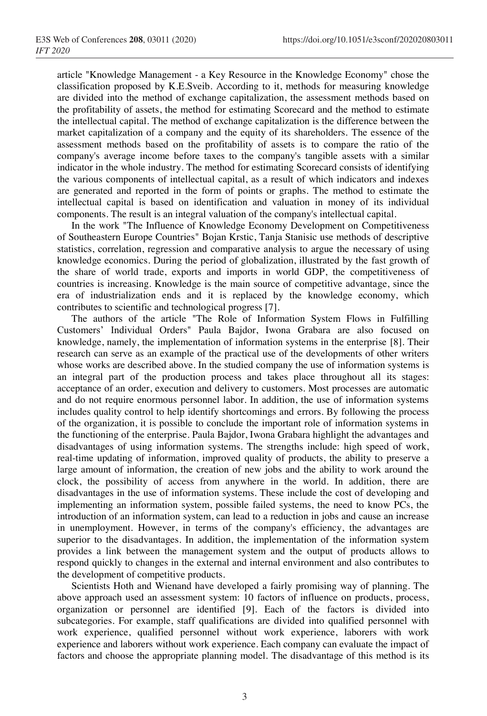article "Knowledge Management - a Key Resource in the Knowledge Economy" chose the classification proposed by K.E.Sveib. According to it, methods for measuring knowledge are divided into the method of exchange capitalization, the assessment methods based on the profitability of assets, the method for estimating Scorecard and the method to estimate the intellectual capital. The method of exchange capitalization is the difference between the market capitalization of a company and the equity of its shareholders. The essence of the assessment methods based on the profitability of assets is to compare the ratio of the company's average income before taxes to the company's tangible assets with a similar indicator in the whole industry. The method for estimating Scorecard consists of identifying the various components of intellectual capital, as a result of which indicators and indexes are generated and reported in the form of points or graphs. The method to estimate the intellectual capital is based on identification and valuation in money of its individual components. The result is an integral valuation of the company's intellectual capital.

In the work "The Influence of Knowledge Economy Development on Competitiveness of Southeastern Europe Countries" Bojan Krstic, Tanja Stanisic use methods of descriptive statistics, correlation, regression and comparative analysis to argue the necessary of using knowledge economics. During the period of globalization, illustrated by the fast growth of the share of world trade, exports and imports in world GDP, the competitiveness of countries is increasing. Knowledge is the main source of competitive advantage, since the era of industrialization ends and it is replaced by the knowledge economy, which contributes to scientific and technological progress [7].

The authors of the article "The Role of Information System Flows in Fulfilling Customers' Individual Orders" Paula Bajdor, Iwona Grabara are also focused on knowledge, namely, the implementation of information systems in the enterprise [8]. Their research can serve as an example of the practical use of the developments of other writers whose works are described above. In the studied company the use of information systems is an integral part of the production process and takes place throughout all its stages: acceptance of an order, execution and delivery to customers. Most processes are automatic and do not require enormous personnel labor. In addition, the use of information systems includes quality control to help identify shortcomings and errors. By following the process of the organization, it is possible to conclude the important role of information systems in the functioning of the enterprise. Paula Bajdor, Iwona Grabara highlight the advantages and disadvantages of using information systems. The strengths include: high speed of work, real-time updating of information, improved quality of products, the ability to preserve a large amount of information, the creation of new jobs and the ability to work around the clock, the possibility of access from anywhere in the world. In addition, there are disadvantages in the use of information systems. These include the cost of developing and implementing an information system, possible failed systems, the need to know PCs, the introduction of an information system, can lead to a reduction in jobs and cause an increase in unemployment. However, in terms of the company's efficiency, the advantages are superior to the disadvantages. In addition, the implementation of the information system provides a link between the management system and the output of products allows to respond quickly to changes in the external and internal environment and also contributes to the development of competitive products.

Scientists Hoth and Wienand have developed a fairly promising way of planning. The above approach used an assessment system: 10 factors of influence on products, process, organization or personnel are identified [9]. Each of the factors is divided into subcategories. For example, staff qualifications are divided into qualified personnel with work experience, qualified personnel without work experience, laborers with work experience and laborers without work experience. Each company can evaluate the impact of factors and choose the appropriate planning model. The disadvantage of this method is its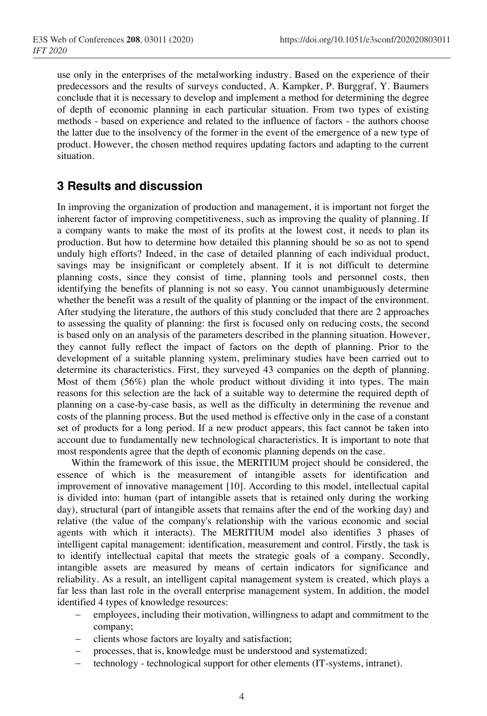use only in the enterprises of the metalworking industry. Based on the experience of their predecessors and the results of surveys conducted, A. Kampker, P. Burggraf, Y. Baumers conclude that it is necessary to develop and implement a method for determining the degree of depth of economic planning in each particular situation. From two types of existing methods - based on experience and related to the influence of factors - the authors choose the latter due to the insolvency of the former in the event of the emergence of a new type of product. However, the chosen method requires updating factors and adapting to the current situation.

### **3 Results and discussion**

In improving the organization of production and management, it is important not forget the inherent factor of improving competitiveness, such as improving the quality of planning. If a company wants to make the most of its profits at the lowest cost, it needs to plan its production. But how to determine how detailed this planning should be so as not to spend unduly high efforts? Indeed, in the case of detailed planning of each individual product, savings may be insignificant or completely absent. If it is not difficult to determine planning costs, since they consist of time, planning tools and personnel costs, then identifying the benefits of planning is not so easy. You cannot unambiguously determine whether the benefit was a result of the quality of planning or the impact of the environment. After studying the literature, the authors of this study concluded that there are 2 approaches to assessing the quality of planning: the first is focused only on reducing costs, the second is based only on an analysis of the parameters described in the planning situation. However, they cannot fully reflect the impact of factors on the depth of planning. Prior to the development of a suitable planning system, preliminary studies have been carried out to determine its characteristics. First, they surveyed 43 companies on the depth of planning. Most of them (56%) plan the whole product without dividing it into types. The main reasons for this selection are the lack of a suitable way to determine the required depth of planning on a case-by-case basis, as well as the difficulty in determining the revenue and costs of the planning process. But the used method is effective only in the case of a constant set of products for a long period. If a new product appears, this fact cannot be taken into account due to fundamentally new technological characteristics. It is important to note that most respondents agree that the depth of economic planning depends on the case.

Within the framework of this issue, the MERITIUM project should be considered, the essence of which is the measurement of intangible assets for identification and improvement of innovative management [10]. According to this model, intellectual capital is divided into: human (part of intangible assets that is retained only during the working day), structural (part of intangible assets that remains after the end of the working day) and relative (the value of the company's relationship with the various economic and social agents with which it interacts). The MERITIUM model also identifies 3 phases of intelligent capital management: identification, measurement and control. Firstly, the task is to identify intellectual capital that meets the strategic goals of a company. Secondly, intangible assets are measured by means of certain indicators for significance and reliability. As a result, an intelligent capital management system is created, which plays a far less than last role in the overall enterprise management system. In addition, the model identified 4 types of knowledge resources:

- employees, including their motivation, willingness to adapt and commitment to the company;
- clients whose factors are loyalty and satisfaction;
- processes, that is, knowledge must be understood and systematized;
- technology technological support for other elements (IT-systems, intranet).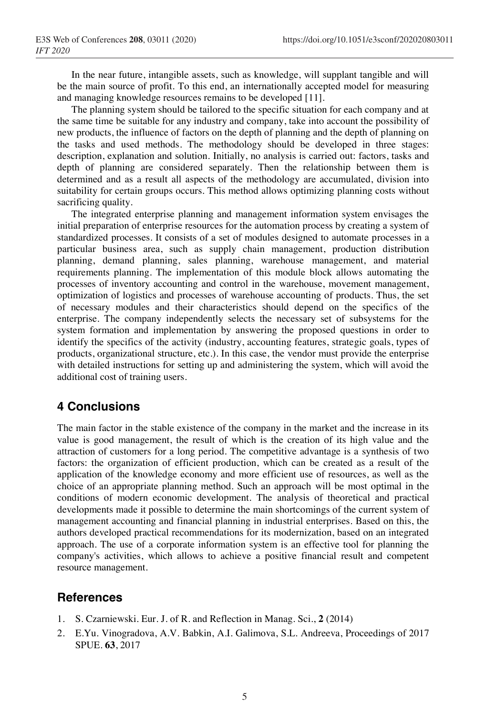In the near future, intangible assets, such as knowledge, will supplant tangible and will be the main source of profit. To this end, an internationally accepted model for measuring and managing knowledge resources remains to be developed [11].

The planning system should be tailored to the specific situation for each company and at the same time be suitable for any industry and company, take into account the possibility of new products, the influence of factors on the depth of planning and the depth of planning on the tasks and used methods. The methodology should be developed in three stages: description, explanation and solution. Initially, no analysis is carried out: factors, tasks and depth of planning are considered separately. Then the relationship between them is determined and as a result all aspects of the methodology are accumulated, division into suitability for certain groups occurs. This method allows optimizing planning costs without sacrificing quality.

The integrated enterprise planning and management information system envisages the initial preparation of enterprise resources for the automation process by creating a system of standardized processes. It consists of a set of modules designed to automate processes in a particular business area, such as supply chain management, production distribution planning, demand planning, sales planning, warehouse management, and material requirements planning. The implementation of this module block allows automating the processes of inventory accounting and control in the warehouse, movement management, optimization of logistics and processes of warehouse accounting of products. Thus, the set of necessary modules and their characteristics should depend on the specifics of the enterprise. The company independently selects the necessary set of subsystems for the system formation and implementation by answering the proposed questions in order to identify the specifics of the activity (industry, accounting features, strategic goals, types of products, organizational structure, etc.). In this case, the vendor must provide the enterprise with detailed instructions for setting up and administering the system, which will avoid the additional cost of training users.

### **4 Conclusions**

The main factor in the stable existence of the company in the market and the increase in its value is good management, the result of which is the creation of its high value and the attraction of customers for a long period. The competitive advantage is a synthesis of two factors: the organization of efficient production, which can be created as a result of the application of the knowledge economy and more efficient use of resources, as well as the choice of an appropriate planning method. Such an approach will be most optimal in the conditions of modern economic development. The analysis of theoretical and practical developments made it possible to determine the main shortcomings of the current system of management accounting and financial planning in industrial enterprises. Based on this, the authors developed practical recommendations for its modernization, based on an integrated approach. The use of a corporate information system is an effective tool for planning the company's activities, which allows to achieve a positive financial result and competent resource management.

### **References**

- 1. S. Czarniewski. Eur. J. of R. and Reflection in Manag. Sci., **2** (2014)
- 2. E.Yu. Vinogradova, A.V. Babkin, A.I. Galimova, S.L. Andreeva, Proceedings of 2017 SPUE. **63**, 2017